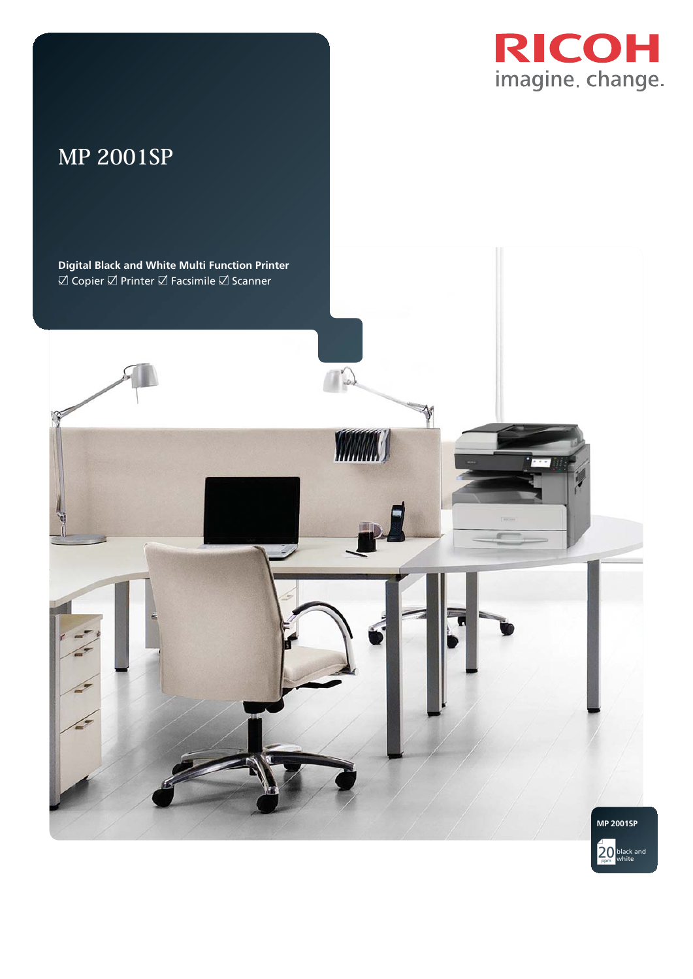

# **MP 2001SP**



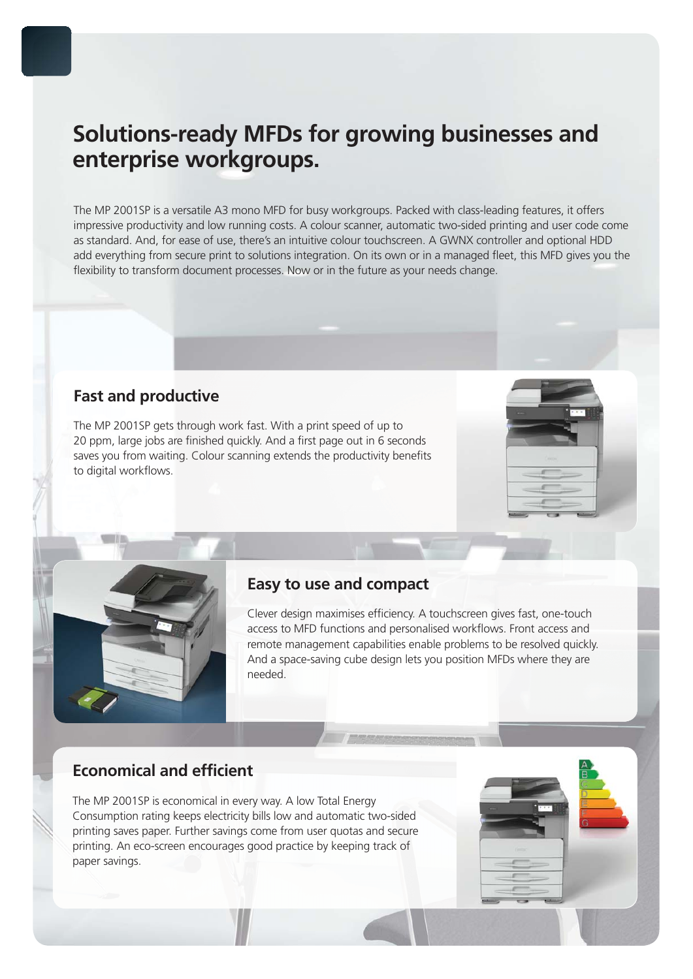# **Solutions-ready MFDs for growing businesses and enterprise workgroups.**

The MP 2001SP is a versatile A3 mono MFD for busy workgroups. Packed with class-leading features, it offers impressive productivity and low running costs. A colour scanner, automatic two-sided printing and user code come as standard. And, for ease of use, there's an intuitive colour touchscreen. A GWNX controller and optional HDD add everything from secure print to solutions integration. On its own or in a managed fleet, this MFD gives you the flexibility to transform document processes. Now or in the future as your needs change.

## **Fast and productive**

The MP 2001SP gets through work fast. With a print speed of up to 20 ppm, large jobs are finished quickly. And a first page out in 6 seconds saves you from waiting. Colour scanning extends the productivity benefits to digital workflows.





### **Easy to use and compact**

Clever design maximises efficiency. A touchscreen gives fast, one-touch access to MFD functions and personalised workflows. Front access and remote management capabilities enable problems to be resolved quickly. And a space-saving cube design lets you position MFDs where they are needed.

## **Economical and efficient**

The MP 2001SP is economical in every way. A low Total Energy Consumption rating keeps electricity bills low and automatic two-sided printing saves paper. Further savings come from user quotas and secure printing. An eco-screen encourages good practice by keeping track of paper savings.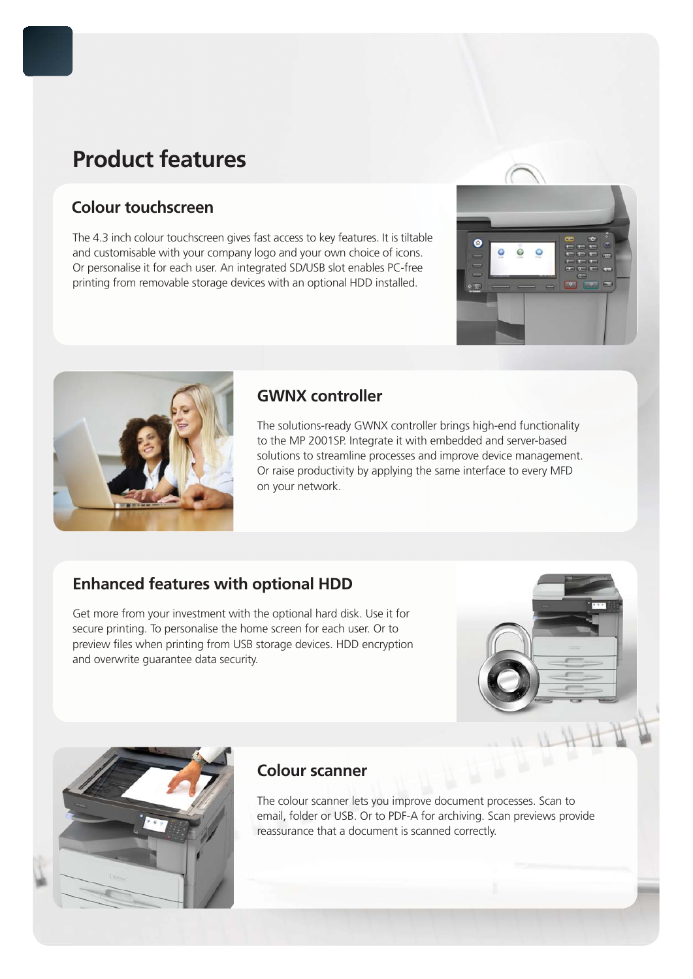# **Product features**

# **Colour touchscreen**

The 4.3 inch colour touchscreen gives fast access to key features. It is tiltable and customisable with your company logo and your own choice of icons. Or personalise it for each user. An integrated SD/USB slot enables PC-free printing from removable storage devices with an optional HDD installed.





## **GWNX controller**

The solutions-ready GWNX controller brings high-end functionality to the MP 2001SP. Integrate it with embedded and server-based solutions to streamline processes and improve device management. Or raise productivity by applying the same interface to every MFD on your network.

# **Enhanced features with optional HDD**

Get more from your investment with the optional hard disk. Use it for secure printing. To personalise the home screen for each user. Or to preview files when printing from USB storage devices. HDD encryption and overwrite guarantee data security.





### **Colour scanner**

The colour scanner lets you improve document processes. Scan to email, folder or USB. Or to PDF-A for archiving. Scan previews provide reassurance that a document is scanned correctly.